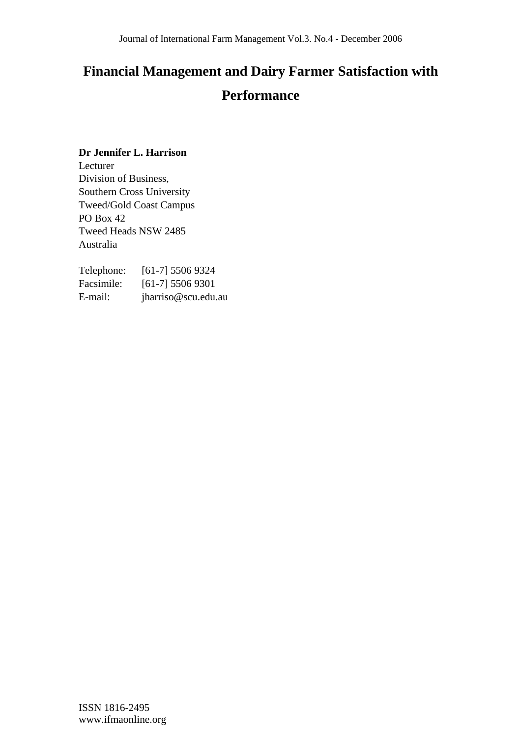# **Financial Management and Dairy Farmer Satisfaction with Performance**

## **Dr Jennifer L. Harrison**

Lecturer Division of Business, Southern Cross University Tweed/Gold Coast Campus PO Box 42 Tweed Heads NSW 2485 Australia

| Telephone: | $[61-7]$ 5506 9324  |
|------------|---------------------|
| Facsimile: | $[61-7]$ 5506 9301  |
| E-mail:    | jharriso@scu.edu.au |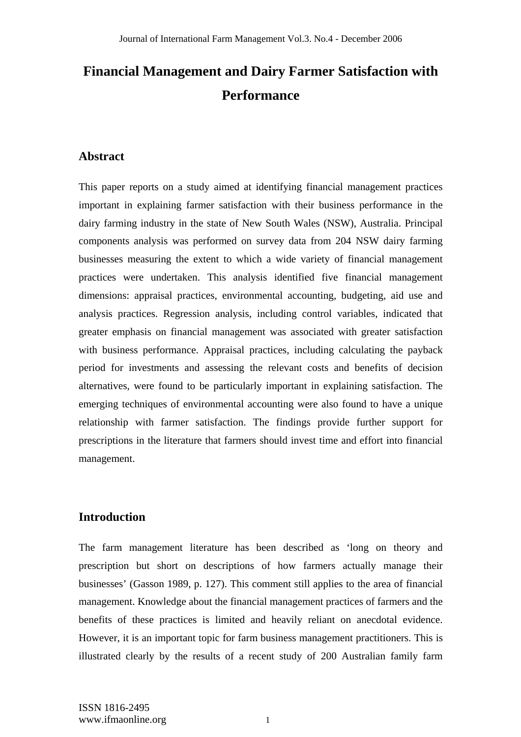# **Financial Management and Dairy Farmer Satisfaction with Performance**

## **Abstract**

This paper reports on a study aimed at identifying financial management practices important in explaining farmer satisfaction with their business performance in the dairy farming industry in the state of New South Wales (NSW), Australia. Principal components analysis was performed on survey data from 204 NSW dairy farming businesses measuring the extent to which a wide variety of financial management practices were undertaken. This analysis identified five financial management dimensions: appraisal practices, environmental accounting, budgeting, aid use and analysis practices. Regression analysis, including control variables, indicated that greater emphasis on financial management was associated with greater satisfaction with business performance. Appraisal practices, including calculating the payback period for investments and assessing the relevant costs and benefits of decision alternatives, were found to be particularly important in explaining satisfaction. The emerging techniques of environmental accounting were also found to have a unique relationship with farmer satisfaction. The findings provide further support for prescriptions in the literature that farmers should invest time and effort into financial management.

# **Introduction**

The farm management literature has been described as 'long on theory and prescription but short on descriptions of how farmers actually manage their businesses' (Gasson 1989, p. 127). This comment still applies to the area of financial management. Knowledge about the financial management practices of farmers and the benefits of these practices is limited and heavily reliant on anecdotal evidence. However, it is an important topic for farm business management practitioners. This is illustrated clearly by the results of a recent study of 200 Australian family farm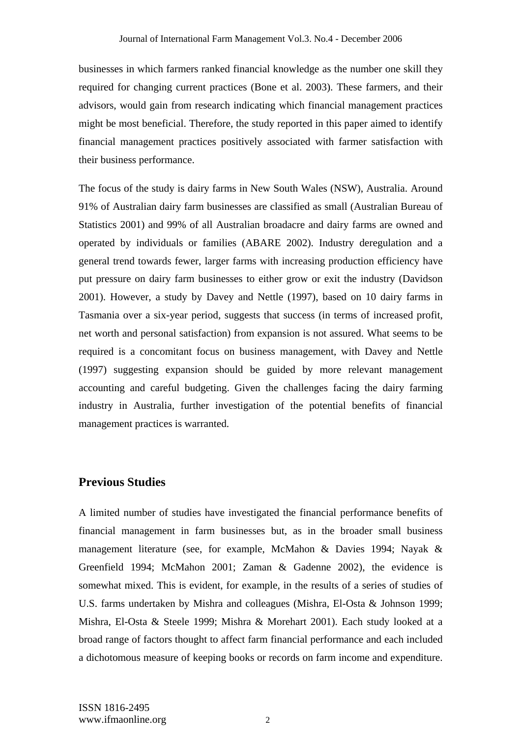businesses in which farmers ranked financial knowledge as the number one skill they required for changing current practices (Bone et al. 2003). These farmers, and their advisors, would gain from research indicating which financial management practices might be most beneficial. Therefore, the study reported in this paper aimed to identify financial management practices positively associated with farmer satisfaction with their business performance.

The focus of the study is dairy farms in New South Wales (NSW), Australia. Around 91% of Australian dairy farm businesses are classified as small (Australian Bureau of Statistics 2001) and 99% of all Australian broadacre and dairy farms are owned and operated by individuals or families (ABARE 2002). Industry deregulation and a general trend towards fewer, larger farms with increasing production efficiency have put pressure on dairy farm businesses to either grow or exit the industry (Davidson 2001). However, a study by Davey and Nettle (1997), based on 10 dairy farms in Tasmania over a six-year period, suggests that success (in terms of increased profit, net worth and personal satisfaction) from expansion is not assured. What seems to be required is a concomitant focus on business management, with Davey and Nettle (1997) suggesting expansion should be guided by more relevant management accounting and careful budgeting. Given the challenges facing the dairy farming industry in Australia, further investigation of the potential benefits of financial management practices is warranted.

#### **Previous Studies**

A limited number of studies have investigated the financial performance benefits of financial management in farm businesses but, as in the broader small business management literature (see, for example, McMahon & Davies 1994; Nayak & Greenfield 1994; McMahon 2001; Zaman & Gadenne 2002), the evidence is somewhat mixed. This is evident, for example, in the results of a series of studies of U.S. farms undertaken by Mishra and colleagues (Mishra, El-Osta & Johnson 1999; Mishra, El-Osta & Steele 1999; Mishra & Morehart 2001). Each study looked at a broad range of factors thought to affect farm financial performance and each included a dichotomous measure of keeping books or records on farm income and expenditure.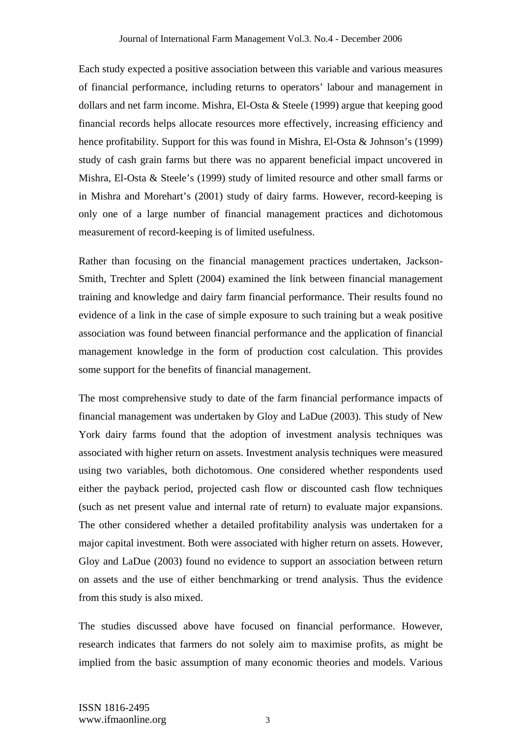Each study expected a positive association between this variable and various measures of financial performance, including returns to operators' labour and management in dollars and net farm income. Mishra, El-Osta & Steele (1999) argue that keeping good financial records helps allocate resources more effectively, increasing efficiency and hence profitability. Support for this was found in Mishra, El-Osta & Johnson's (1999) study of cash grain farms but there was no apparent beneficial impact uncovered in Mishra, El-Osta & Steele's (1999) study of limited resource and other small farms or in Mishra and Morehart's (2001) study of dairy farms. However, record-keeping is only one of a large number of financial management practices and dichotomous measurement of record-keeping is of limited usefulness.

Rather than focusing on the financial management practices undertaken, Jackson-Smith, Trechter and Splett (2004) examined the link between financial management training and knowledge and dairy farm financial performance. Their results found no evidence of a link in the case of simple exposure to such training but a weak positive association was found between financial performance and the application of financial management knowledge in the form of production cost calculation. This provides some support for the benefits of financial management.

The most comprehensive study to date of the farm financial performance impacts of financial management was undertaken by Gloy and LaDue (2003). This study of New York dairy farms found that the adoption of investment analysis techniques was associated with higher return on assets. Investment analysis techniques were measured using two variables, both dichotomous. One considered whether respondents used either the payback period, projected cash flow or discounted cash flow techniques (such as net present value and internal rate of return) to evaluate major expansions. The other considered whether a detailed profitability analysis was undertaken for a major capital investment. Both were associated with higher return on assets. However, Gloy and LaDue (2003) found no evidence to support an association between return on assets and the use of either benchmarking or trend analysis. Thus the evidence from this study is also mixed.

The studies discussed above have focused on financial performance. However, research indicates that farmers do not solely aim to maximise profits, as might be implied from the basic assumption of many economic theories and models. Various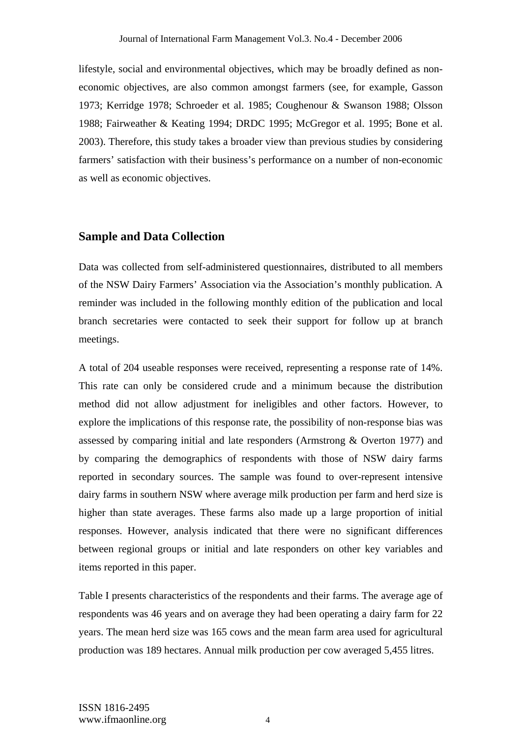lifestyle, social and environmental objectives, which may be broadly defined as noneconomic objectives, are also common amongst farmers (see, for example, Gasson 1973; Kerridge 1978; Schroeder et al. 1985; Coughenour & Swanson 1988; Olsson 1988; Fairweather & Keating 1994; DRDC 1995; McGregor et al. 1995; Bone et al. 2003). Therefore, this study takes a broader view than previous studies by considering farmers' satisfaction with their business's performance on a number of non-economic as well as economic objectives.

#### **Sample and Data Collection**

Data was collected from self-administered questionnaires, distributed to all members of the NSW Dairy Farmers' Association via the Association's monthly publication. A reminder was included in the following monthly edition of the publication and local branch secretaries were contacted to seek their support for follow up at branch meetings.

A total of 204 useable responses were received, representing a response rate of 14%. This rate can only be considered crude and a minimum because the distribution method did not allow adjustment for ineligibles and other factors. However, to explore the implications of this response rate, the possibility of non-response bias was assessed by comparing initial and late responders (Armstrong & Overton 1977) and by comparing the demographics of respondents with those of NSW dairy farms reported in secondary sources. The sample was found to over-represent intensive dairy farms in southern NSW where average milk production per farm and herd size is higher than state averages. These farms also made up a large proportion of initial responses. However, analysis indicated that there were no significant differences between regional groups or initial and late responders on other key variables and items reported in this paper.

Table I presents characteristics of the respondents and their farms. The average age of respondents was 46 years and on average they had been operating a dairy farm for 22 years. The mean herd size was 165 cows and the mean farm area used for agricultural production was 189 hectares. Annual milk production per cow averaged 5,455 litres.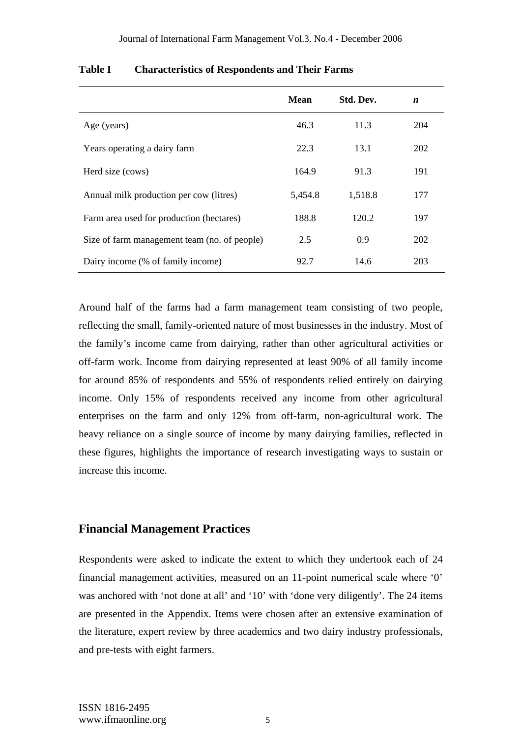|                                              | <b>Mean</b> | Std. Dev. | $\boldsymbol{n}$ |
|----------------------------------------------|-------------|-----------|------------------|
| Age (years)                                  | 46.3        | 11.3      | 204              |
| Years operating a dairy farm                 | 22.3        | 13.1      | 202              |
| Herd size (cows)                             | 164.9       | 91.3      | 191              |
| Annual milk production per cow (litres)      | 5,454.8     | 1,518.8   | 177              |
| Farm area used for production (hectares)     | 188.8       | 120.2     | 197              |
| Size of farm management team (no. of people) | 2.5         | 0.9       | 202              |
| Dairy income (% of family income)            | 92.7        | 14.6      | 203              |

#### **Table I Characteristics of Respondents and Their Farms**

Around half of the farms had a farm management team consisting of two people, reflecting the small, family-oriented nature of most businesses in the industry. Most of the family's income came from dairying, rather than other agricultural activities or off-farm work. Income from dairying represented at least 90% of all family income for around 85% of respondents and 55% of respondents relied entirely on dairying income. Only 15% of respondents received any income from other agricultural enterprises on the farm and only 12% from off-farm, non-agricultural work. The heavy reliance on a single source of income by many dairying families, reflected in these figures, highlights the importance of research investigating ways to sustain or increase this income.

#### **Financial Management Practices**

Respondents were asked to indicate the extent to which they undertook each of 24 financial management activities, measured on an 11-point numerical scale where '0' was anchored with 'not done at all' and '10' with 'done very diligently'. The 24 items are presented in the Appendix. Items were chosen after an extensive examination of the literature, expert review by three academics and two dairy industry professionals, and pre-tests with eight farmers.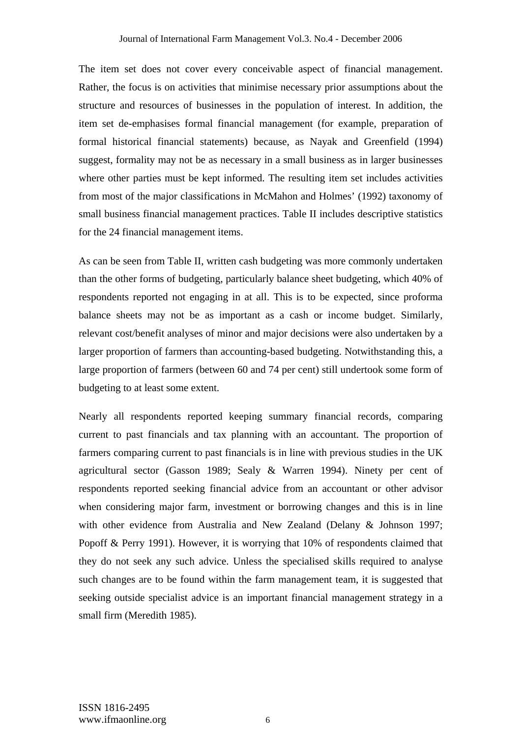The item set does not cover every conceivable aspect of financial management. Rather, the focus is on activities that minimise necessary prior assumptions about the structure and resources of businesses in the population of interest. In addition, the item set de-emphasises formal financial management (for example, preparation of formal historical financial statements) because, as Nayak and Greenfield (1994) suggest, formality may not be as necessary in a small business as in larger businesses where other parties must be kept informed. The resulting item set includes activities from most of the major classifications in McMahon and Holmes' (1992) taxonomy of small business financial management practices. Table II includes descriptive statistics for the 24 financial management items.

As can be seen from Table II, written cash budgeting was more commonly undertaken than the other forms of budgeting, particularly balance sheet budgeting, which 40% of respondents reported not engaging in at all. This is to be expected, since proforma balance sheets may not be as important as a cash or income budget. Similarly, relevant cost/benefit analyses of minor and major decisions were also undertaken by a larger proportion of farmers than accounting-based budgeting. Notwithstanding this, a large proportion of farmers (between 60 and 74 per cent) still undertook some form of budgeting to at least some extent.

Nearly all respondents reported keeping summary financial records, comparing current to past financials and tax planning with an accountant. The proportion of farmers comparing current to past financials is in line with previous studies in the UK agricultural sector (Gasson 1989; Sealy & Warren 1994). Ninety per cent of respondents reported seeking financial advice from an accountant or other advisor when considering major farm, investment or borrowing changes and this is in line with other evidence from Australia and New Zealand (Delany & Johnson 1997; Popoff & Perry 1991). However, it is worrying that 10% of respondents claimed that they do not seek any such advice. Unless the specialised skills required to analyse such changes are to be found within the farm management team, it is suggested that seeking outside specialist advice is an important financial management strategy in a small firm (Meredith 1985).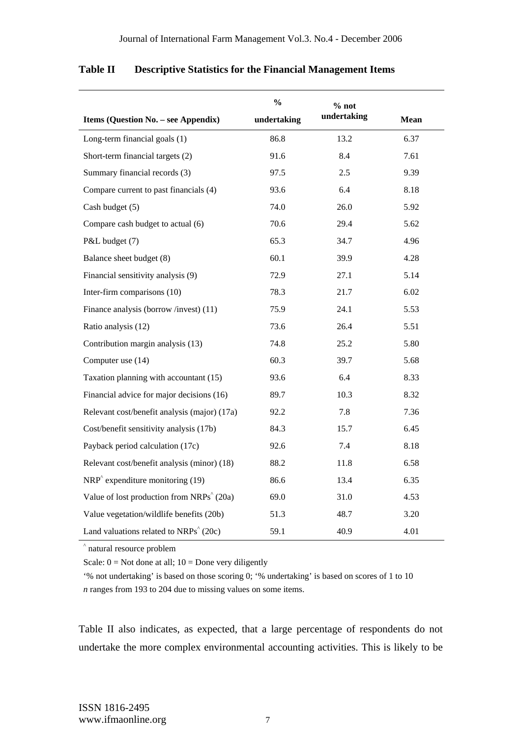|                                                       | $\frac{0}{0}$ | % not       |             |
|-------------------------------------------------------|---------------|-------------|-------------|
| Items (Question No. - see Appendix)                   | undertaking   | undertaking | <b>Mean</b> |
| Long-term financial goals (1)                         | 86.8          | 13.2        | 6.37        |
| Short-term financial targets (2)                      | 91.6          | 8.4         | 7.61        |
| Summary financial records (3)                         | 97.5          | 2.5         | 9.39        |
| Compare current to past financials (4)                | 93.6          | 6.4         | 8.18        |
| Cash budget (5)                                       | 74.0          | 26.0        | 5.92        |
| Compare cash budget to actual (6)                     | 70.6          | 29.4        | 5.62        |
| P&L budget (7)                                        | 65.3          | 34.7        | 4.96        |
| Balance sheet budget (8)                              | 60.1          | 39.9        | 4.28        |
| Financial sensitivity analysis (9)                    | 72.9          | 27.1        | 5.14        |
| Inter-firm comparisons (10)                           | 78.3          | 21.7        | 6.02        |
| Finance analysis (borrow/invest) (11)                 | 75.9          | 24.1        | 5.53        |
| Ratio analysis (12)                                   | 73.6          | 26.4        | 5.51        |
| Contribution margin analysis (13)                     | 74.8          | 25.2        | 5.80        |
| Computer use (14)                                     | 60.3          | 39.7        | 5.68        |
| Taxation planning with accountant (15)                | 93.6          | 6.4         | 8.33        |
| Financial advice for major decisions (16)             | 89.7          | 10.3        | 8.32        |
| Relevant cost/benefit analysis (major) (17a)          | 92.2          | 7.8         | 7.36        |
| Cost/benefit sensitivity analysis (17b)               | 84.3          | 15.7        | 6.45        |
| Payback period calculation (17c)                      | 92.6          | 7.4         | 8.18        |
| Relevant cost/benefit analysis (minor) (18)           | 88.2          | 11.8        | 6.58        |
| $NRP^{\wedge}$ expenditure monitoring (19)            | 86.6          | 13.4        | 6.35        |
| Value of lost production from NRPs <sup>^</sup> (20a) | 69.0          | 31.0        | 4.53        |
| Value vegetation/wildlife benefits (20b)              | 51.3          | 48.7        | 3.20        |
| Land valuations related to $NRPs^{\wedge}(20c)$       | 59.1          | 40.9        | 4.01        |

#### **Table II Descriptive Statistics for the Financial Management Items**

^ natural resource problem

Scale:  $0 = Not$  done at all;  $10 = Don$ e very diligently

'% not undertaking' is based on those scoring 0; '% undertaking' is based on scores of 1 to 10 *n* ranges from 193 to 204 due to missing values on some items.

Table II also indicates, as expected, that a large percentage of respondents do not undertake the more complex environmental accounting activities. This is likely to be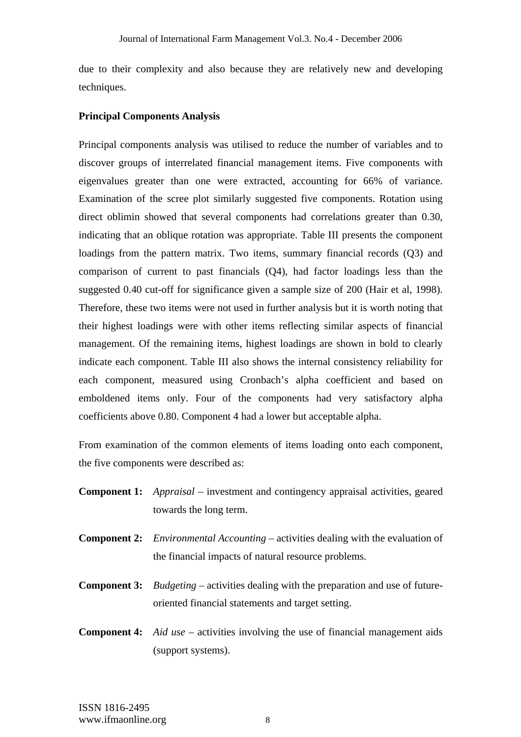due to their complexity and also because they are relatively new and developing techniques.

#### **Principal Components Analysis**

Principal components analysis was utilised to reduce the number of variables and to discover groups of interrelated financial management items. Five components with eigenvalues greater than one were extracted, accounting for 66% of variance. Examination of the scree plot similarly suggested five components. Rotation using direct oblimin showed that several components had correlations greater than 0.30, indicating that an oblique rotation was appropriate. Table III presents the component loadings from the pattern matrix. Two items, summary financial records (Q3) and comparison of current to past financials (Q4), had factor loadings less than the suggested 0.40 cut-off for significance given a sample size of 200 (Hair et al, 1998). Therefore, these two items were not used in further analysis but it is worth noting that their highest loadings were with other items reflecting similar aspects of financial management. Of the remaining items, highest loadings are shown in bold to clearly indicate each component. Table III also shows the internal consistency reliability for each component, measured using Cronbach's alpha coefficient and based on emboldened items only. Four of the components had very satisfactory alpha coefficients above 0.80. Component 4 had a lower but acceptable alpha.

From examination of the common elements of items loading onto each component, the five components were described as:

- **Component 1:** *Appraisal* investment and contingency appraisal activities, geared towards the long term.
- **Component 2:** *Environmental Accounting* activities dealing with the evaluation of the financial impacts of natural resource problems.
- **Component 3:** *Budgeting* activities dealing with the preparation and use of futureoriented financial statements and target setting.
- **Component 4:** *Aid use* activities involving the use of financial management aids (support systems).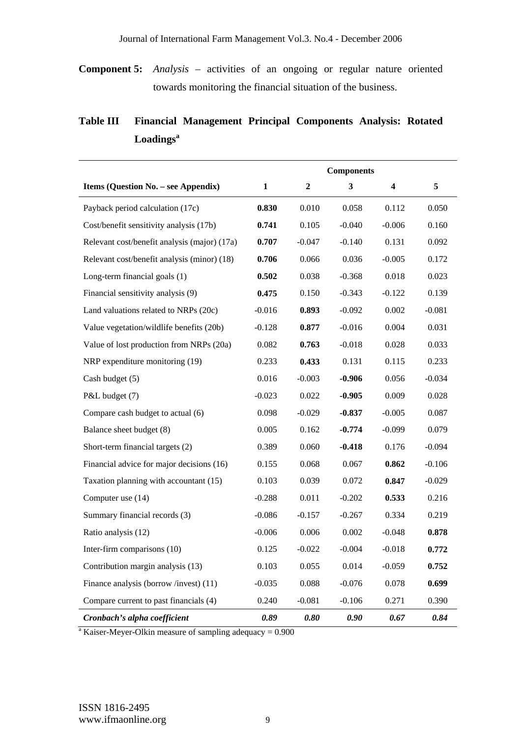**Component 5:** *Analysis* – activities of an ongoing or regular nature oriented towards monitoring the financial situation of the business.

|                                              |          |                  | <b>Components</b> |          |          |
|----------------------------------------------|----------|------------------|-------------------|----------|----------|
| Items (Question No. - see Appendix)          | 1        | $\boldsymbol{2}$ | 3                 | 4        | 5        |
| Payback period calculation (17c)             | 0.830    | 0.010            | 0.058             | 0.112    | 0.050    |
| Cost/benefit sensitivity analysis (17b)      | 0.741    | 0.105            | $-0.040$          | $-0.006$ | 0.160    |
| Relevant cost/benefit analysis (major) (17a) | 0.707    | $-0.047$         | $-0.140$          | 0.131    | 0.092    |
| Relevant cost/benefit analysis (minor) (18)  | 0.706    | 0.066            | 0.036             | $-0.005$ | 0.172    |
| Long-term financial goals (1)                | 0.502    | 0.038            | $-0.368$          | 0.018    | 0.023    |
| Financial sensitivity analysis (9)           | 0.475    | 0.150            | $-0.343$          | $-0.122$ | 0.139    |
| Land valuations related to NRPs (20c)        | $-0.016$ | 0.893            | $-0.092$          | 0.002    | $-0.081$ |
| Value vegetation/wildlife benefits (20b)     | $-0.128$ | 0.877            | $-0.016$          | 0.004    | 0.031    |
| Value of lost production from NRPs (20a)     | 0.082    | 0.763            | $-0.018$          | 0.028    | 0.033    |
| NRP expenditure monitoring (19)              | 0.233    | 0.433            | 0.131             | 0.115    | 0.233    |
| Cash budget (5)                              | 0.016    | $-0.003$         | $-0.906$          | 0.056    | $-0.034$ |
| P&L budget (7)                               | $-0.023$ | 0.022            | $-0.905$          | 0.009    | 0.028    |
| Compare cash budget to actual (6)            | 0.098    | $-0.029$         | $-0.837$          | $-0.005$ | 0.087    |
| Balance sheet budget (8)                     | 0.005    | 0.162            | $-0.774$          | $-0.099$ | 0.079    |
| Short-term financial targets (2)             | 0.389    | 0.060            | $-0.418$          | 0.176    | $-0.094$ |
| Financial advice for major decisions (16)    | 0.155    | 0.068            | 0.067             | 0.862    | $-0.106$ |
| Taxation planning with accountant (15)       | 0.103    | 0.039            | 0.072             | 0.847    | $-0.029$ |
| Computer use (14)                            | $-0.288$ | 0.011            | $-0.202$          | 0.533    | 0.216    |
| Summary financial records (3)                | $-0.086$ | $-0.157$         | $-0.267$          | 0.334    | 0.219    |
| Ratio analysis (12)                          | $-0.006$ | 0.006            | 0.002             | $-0.048$ | 0.878    |
| Inter-firm comparisons (10)                  | 0.125    | $-0.022$         | $-0.004$          | $-0.018$ | 0.772    |
| Contribution margin analysis (13)            | 0.103    | 0.055            | 0.014             | $-0.059$ | 0.752    |
| Finance analysis (borrow /invest) (11)       | $-0.035$ | 0.088            | $-0.076$          | 0.078    | 0.699    |
| Compare current to past financials (4)       | 0.240    | $-0.081$         | $-0.106$          | 0.271    | 0.390    |
| Cronbach's alpha coefficient                 | 0.89     | 0.80             | 0.90              | 0.67     | 0.84     |

# **Table III Financial Management Principal Components Analysis: Rotated Loadings<sup>a</sup>**

 $a<sup>a</sup>$  Kaiser-Meyer-Olkin measure of sampling adequacy = 0.900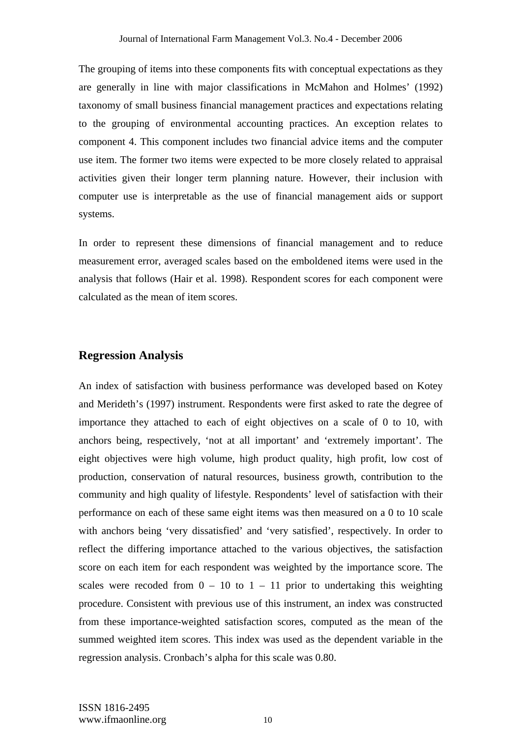The grouping of items into these components fits with conceptual expectations as they are generally in line with major classifications in McMahon and Holmes' (1992) taxonomy of small business financial management practices and expectations relating to the grouping of environmental accounting practices. An exception relates to component 4. This component includes two financial advice items and the computer use item. The former two items were expected to be more closely related to appraisal activities given their longer term planning nature. However, their inclusion with computer use is interpretable as the use of financial management aids or support systems.

In order to represent these dimensions of financial management and to reduce measurement error, averaged scales based on the emboldened items were used in the analysis that follows (Hair et al. 1998). Respondent scores for each component were calculated as the mean of item scores.

#### **Regression Analysis**

An index of satisfaction with business performance was developed based on Kotey and Merideth's (1997) instrument. Respondents were first asked to rate the degree of importance they attached to each of eight objectives on a scale of 0 to 10, with anchors being, respectively, 'not at all important' and 'extremely important'. The eight objectives were high volume, high product quality, high profit, low cost of production, conservation of natural resources, business growth, contribution to the community and high quality of lifestyle. Respondents' level of satisfaction with their performance on each of these same eight items was then measured on a 0 to 10 scale with anchors being 'very dissatisfied' and 'very satisfied', respectively. In order to reflect the differing importance attached to the various objectives, the satisfaction score on each item for each respondent was weighted by the importance score. The scales were recoded from  $0 - 10$  to  $1 - 11$  prior to undertaking this weighting procedure. Consistent with previous use of this instrument, an index was constructed from these importance-weighted satisfaction scores, computed as the mean of the summed weighted item scores. This index was used as the dependent variable in the regression analysis. Cronbach's alpha for this scale was 0.80.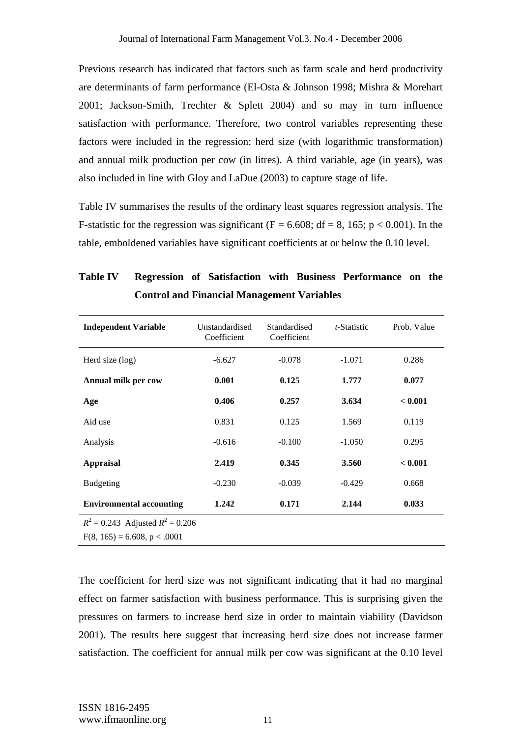Previous research has indicated that factors such as farm scale and herd productivity are determinants of farm performance (El-Osta & Johnson 1998; Mishra & Morehart 2001; Jackson-Smith, Trechter & Splett 2004) and so may in turn influence satisfaction with performance. Therefore, two control variables representing these factors were included in the regression: herd size (with logarithmic transformation) and annual milk production per cow (in litres). A third variable, age (in years), was also included in line with Gloy and LaDue (2003) to capture stage of life.

Table IV summarises the results of the ordinary least squares regression analysis. The F-statistic for the regression was significant (F = 6.608; df = 8, 165; p < 0.001). In the table, emboldened variables have significant coefficients at or below the 0.10 level.

| <b>Independent Variable</b>          | Unstandardised<br>Coefficient | Standardised<br>Coefficient | t-Statistic | Prob. Value |
|--------------------------------------|-------------------------------|-----------------------------|-------------|-------------|
| Herd size (log)                      | $-6.627$                      | $-0.078$                    | $-1.071$    | 0.286       |
| Annual milk per cow                  | 0.001                         | 0.125                       | 1.777       | 0.077       |
| Age                                  | 0.406                         | 0.257                       | 3.634       | < 0.001     |
| Aid use                              | 0.831                         | 0.125                       | 1.569       | 0.119       |
| Analysis                             | $-0.616$                      | $-0.100$                    | $-1.050$    | 0.295       |
| <b>Appraisal</b>                     | 2.419                         | 0.345                       | 3.560       | < 0.001     |
| <b>Budgeting</b>                     | $-0.230$                      | $-0.039$                    | $-0.429$    | 0.668       |
| <b>Environmental accounting</b>      | 1.242                         | 0.171                       | 2.144       | 0.033       |
| $R^2 = 0.243$ Adjusted $R^2 = 0.206$ |                               |                             |             |             |
| $F(8, 165) = 6.608, p < .0001$       |                               |                             |             |             |

**Table IV Regression of Satisfaction with Business Performance on the Control and Financial Management Variables** 

The coefficient for herd size was not significant indicating that it had no marginal effect on farmer satisfaction with business performance. This is surprising given the pressures on farmers to increase herd size in order to maintain viability (Davidson 2001). The results here suggest that increasing herd size does not increase farmer satisfaction. The coefficient for annual milk per cow was significant at the 0.10 level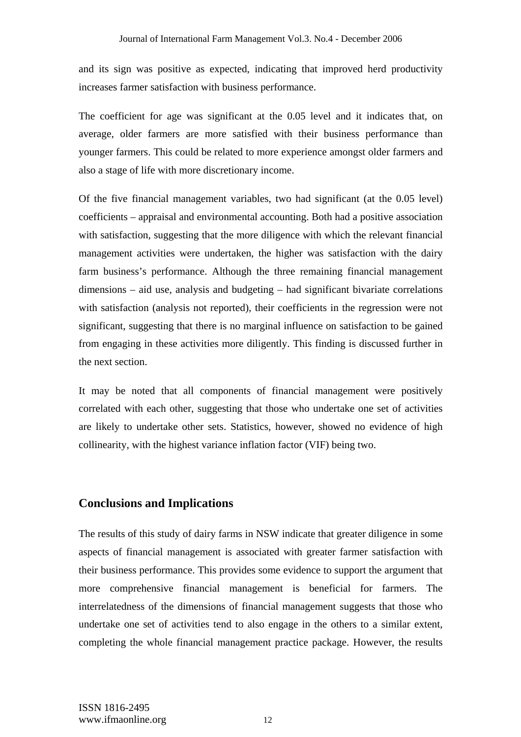and its sign was positive as expected, indicating that improved herd productivity increases farmer satisfaction with business performance.

The coefficient for age was significant at the 0.05 level and it indicates that, on average, older farmers are more satisfied with their business performance than younger farmers. This could be related to more experience amongst older farmers and also a stage of life with more discretionary income.

Of the five financial management variables, two had significant (at the 0.05 level) coefficients – appraisal and environmental accounting. Both had a positive association with satisfaction, suggesting that the more diligence with which the relevant financial management activities were undertaken, the higher was satisfaction with the dairy farm business's performance. Although the three remaining financial management dimensions – aid use, analysis and budgeting – had significant bivariate correlations with satisfaction (analysis not reported), their coefficients in the regression were not significant, suggesting that there is no marginal influence on satisfaction to be gained from engaging in these activities more diligently. This finding is discussed further in the next section.

It may be noted that all components of financial management were positively correlated with each other, suggesting that those who undertake one set of activities are likely to undertake other sets. Statistics, however, showed no evidence of high collinearity, with the highest variance inflation factor (VIF) being two.

# **Conclusions and Implications**

The results of this study of dairy farms in NSW indicate that greater diligence in some aspects of financial management is associated with greater farmer satisfaction with their business performance. This provides some evidence to support the argument that more comprehensive financial management is beneficial for farmers. The interrelatedness of the dimensions of financial management suggests that those who undertake one set of activities tend to also engage in the others to a similar extent, completing the whole financial management practice package. However, the results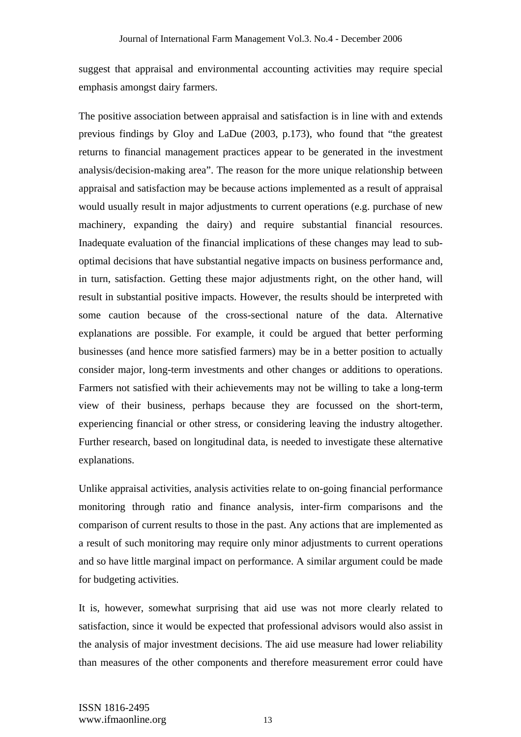suggest that appraisal and environmental accounting activities may require special emphasis amongst dairy farmers.

The positive association between appraisal and satisfaction is in line with and extends previous findings by Gloy and LaDue (2003, p.173), who found that "the greatest returns to financial management practices appear to be generated in the investment analysis/decision-making area". The reason for the more unique relationship between appraisal and satisfaction may be because actions implemented as a result of appraisal would usually result in major adjustments to current operations (e.g. purchase of new machinery, expanding the dairy) and require substantial financial resources. Inadequate evaluation of the financial implications of these changes may lead to suboptimal decisions that have substantial negative impacts on business performance and, in turn, satisfaction. Getting these major adjustments right, on the other hand, will result in substantial positive impacts. However, the results should be interpreted with some caution because of the cross-sectional nature of the data. Alternative explanations are possible. For example, it could be argued that better performing businesses (and hence more satisfied farmers) may be in a better position to actually consider major, long-term investments and other changes or additions to operations. Farmers not satisfied with their achievements may not be willing to take a long-term view of their business, perhaps because they are focussed on the short-term, experiencing financial or other stress, or considering leaving the industry altogether. Further research, based on longitudinal data, is needed to investigate these alternative explanations.

Unlike appraisal activities, analysis activities relate to on-going financial performance monitoring through ratio and finance analysis, inter-firm comparisons and the comparison of current results to those in the past. Any actions that are implemented as a result of such monitoring may require only minor adjustments to current operations and so have little marginal impact on performance. A similar argument could be made for budgeting activities.

It is, however, somewhat surprising that aid use was not more clearly related to satisfaction, since it would be expected that professional advisors would also assist in the analysis of major investment decisions. The aid use measure had lower reliability than measures of the other components and therefore measurement error could have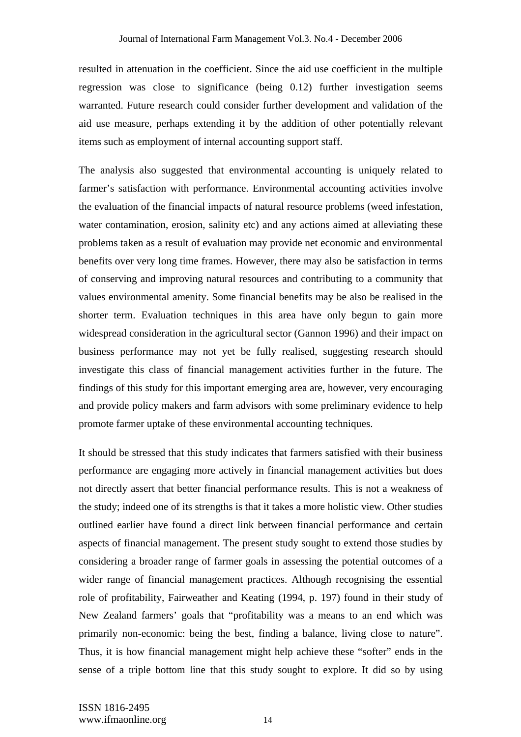resulted in attenuation in the coefficient. Since the aid use coefficient in the multiple regression was close to significance (being 0.12) further investigation seems warranted. Future research could consider further development and validation of the aid use measure, perhaps extending it by the addition of other potentially relevant items such as employment of internal accounting support staff.

The analysis also suggested that environmental accounting is uniquely related to farmer's satisfaction with performance. Environmental accounting activities involve the evaluation of the financial impacts of natural resource problems (weed infestation, water contamination, erosion, salinity etc) and any actions aimed at alleviating these problems taken as a result of evaluation may provide net economic and environmental benefits over very long time frames. However, there may also be satisfaction in terms of conserving and improving natural resources and contributing to a community that values environmental amenity. Some financial benefits may be also be realised in the shorter term. Evaluation techniques in this area have only begun to gain more widespread consideration in the agricultural sector (Gannon 1996) and their impact on business performance may not yet be fully realised, suggesting research should investigate this class of financial management activities further in the future. The findings of this study for this important emerging area are, however, very encouraging and provide policy makers and farm advisors with some preliminary evidence to help promote farmer uptake of these environmental accounting techniques.

It should be stressed that this study indicates that farmers satisfied with their business performance are engaging more actively in financial management activities but does not directly assert that better financial performance results. This is not a weakness of the study; indeed one of its strengths is that it takes a more holistic view. Other studies outlined earlier have found a direct link between financial performance and certain aspects of financial management. The present study sought to extend those studies by considering a broader range of farmer goals in assessing the potential outcomes of a wider range of financial management practices. Although recognising the essential role of profitability, Fairweather and Keating (1994, p. 197) found in their study of New Zealand farmers' goals that "profitability was a means to an end which was primarily non-economic: being the best, finding a balance, living close to nature". Thus, it is how financial management might help achieve these "softer" ends in the sense of a triple bottom line that this study sought to explore. It did so by using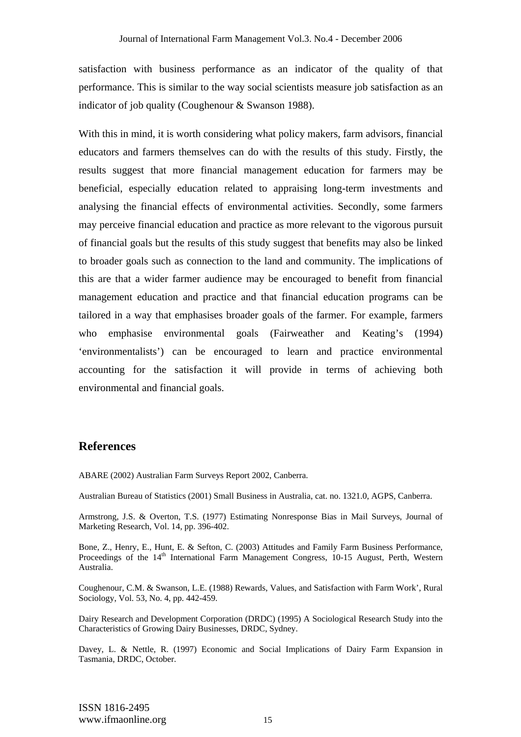satisfaction with business performance as an indicator of the quality of that performance. This is similar to the way social scientists measure job satisfaction as an indicator of job quality (Coughenour & Swanson 1988).

With this in mind, it is worth considering what policy makers, farm advisors, financial educators and farmers themselves can do with the results of this study. Firstly, the results suggest that more financial management education for farmers may be beneficial, especially education related to appraising long-term investments and analysing the financial effects of environmental activities. Secondly, some farmers may perceive financial education and practice as more relevant to the vigorous pursuit of financial goals but the results of this study suggest that benefits may also be linked to broader goals such as connection to the land and community. The implications of this are that a wider farmer audience may be encouraged to benefit from financial management education and practice and that financial education programs can be tailored in a way that emphasises broader goals of the farmer. For example, farmers who emphasise environmental goals (Fairweather and Keating's (1994) 'environmentalists') can be encouraged to learn and practice environmental accounting for the satisfaction it will provide in terms of achieving both environmental and financial goals.

### **References**

ABARE (2002) Australian Farm Surveys Report 2002, Canberra.

Australian Bureau of Statistics (2001) Small Business in Australia, cat. no. 1321.0, AGPS, Canberra.

Armstrong, J.S. & Overton, T.S. (1977) Estimating Nonresponse Bias in Mail Surveys, Journal of Marketing Research, Vol. 14, pp. 396-402.

Bone, Z., Henry, E., Hunt, E. & Sefton, C. (2003) Attitudes and Family Farm Business Performance, Proceedings of the 14<sup>th</sup> International Farm Management Congress, 10-15 August, Perth, Western Australia.

Coughenour, C.M. & Swanson, L.E. (1988) Rewards, Values, and Satisfaction with Farm Work', Rural Sociology, Vol. 53, No. 4, pp. 442-459.

Dairy Research and Development Corporation (DRDC) (1995) A Sociological Research Study into the Characteristics of Growing Dairy Businesses, DRDC, Sydney.

Davey, L. & Nettle, R. (1997) Economic and Social Implications of Dairy Farm Expansion in Tasmania, DRDC, October.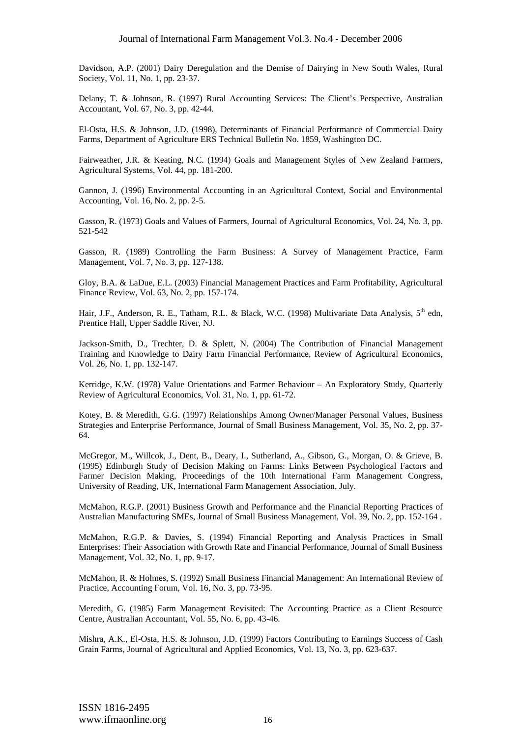Davidson, A.P. (2001) Dairy Deregulation and the Demise of Dairying in New South Wales, Rural Society, Vol. 11, No. 1, pp. 23-37.

Delany, T. & Johnson, R. (1997) Rural Accounting Services: The Client's Perspective, Australian Accountant, Vol. 67, No. 3, pp. 42-44.

El-Osta, H.S. & Johnson, J.D. (1998), Determinants of Financial Performance of Commercial Dairy Farms, Department of Agriculture ERS Technical Bulletin No. 1859, Washington DC.

Fairweather, J.R. & Keating, N.C. (1994) Goals and Management Styles of New Zealand Farmers, Agricultural Systems, Vol. 44, pp. 181-200.

Gannon, J. (1996) Environmental Accounting in an Agricultural Context, Social and Environmental Accounting, Vol. 16, No. 2, pp. 2-5.

Gasson, R. (1973) Goals and Values of Farmers, Journal of Agricultural Economics, Vol. 24, No. 3, pp. 521-542

Gasson, R. (1989) Controlling the Farm Business: A Survey of Management Practice, Farm Management, Vol. 7, No. 3, pp. 127-138.

Gloy, B.A. & LaDue, E.L. (2003) Financial Management Practices and Farm Profitability, Agricultural Finance Review, Vol. 63, No. 2, pp. 157-174.

Hair, J.F., Anderson, R. E., Tatham, R.L. & Black, W.C. (1998) Multivariate Data Analysis,  $5<sup>th</sup>$  edn, Prentice Hall, Upper Saddle River, NJ.

Jackson-Smith, D., Trechter, D. & Splett, N. (2004) The Contribution of Financial Management Training and Knowledge to Dairy Farm Financial Performance, Review of Agricultural Economics, Vol. 26, No. 1, pp. 132-147.

Kerridge, K.W. (1978) Value Orientations and Farmer Behaviour – An Exploratory Study, Quarterly Review of Agricultural Economics, Vol. 31, No. 1, pp. 61-72.

Kotey, B. & Meredith, G.G. (1997) Relationships Among Owner/Manager Personal Values, Business Strategies and Enterprise Performance, Journal of Small Business Management, Vol. 35, No. 2, pp. 37- 64.

McGregor, M., Willcok, J., Dent, B., Deary, I., Sutherland, A., Gibson, G., Morgan, O. & Grieve, B. (1995) Edinburgh Study of Decision Making on Farms: Links Between Psychological Factors and Farmer Decision Making, Proceedings of the 10th International Farm Management Congress, University of Reading, UK, International Farm Management Association, July.

McMahon, R.G.P. (2001) Business Growth and Performance and the Financial Reporting Practices of Australian Manufacturing SMEs, Journal of Small Business Management, Vol. 39, No. 2, pp. 152-164 .

McMahon, R.G.P. & Davies, S. (1994) Financial Reporting and Analysis Practices in Small Enterprises: Their Association with Growth Rate and Financial Performance, Journal of Small Business Management, Vol. 32, No. 1, pp. 9-17.

McMahon, R. & Holmes, S. (1992) Small Business Financial Management: An International Review of Practice, Accounting Forum, Vol. 16, No. 3, pp. 73-95.

Meredith, G. (1985) Farm Management Revisited: The Accounting Practice as a Client Resource Centre, Australian Accountant, Vol. 55, No. 6, pp. 43-46.

Mishra, A.K., El-Osta, H.S. & Johnson, J.D. (1999) Factors Contributing to Earnings Success of Cash Grain Farms, Journal of Agricultural and Applied Economics, Vol. 13, No. 3, pp. 623-637.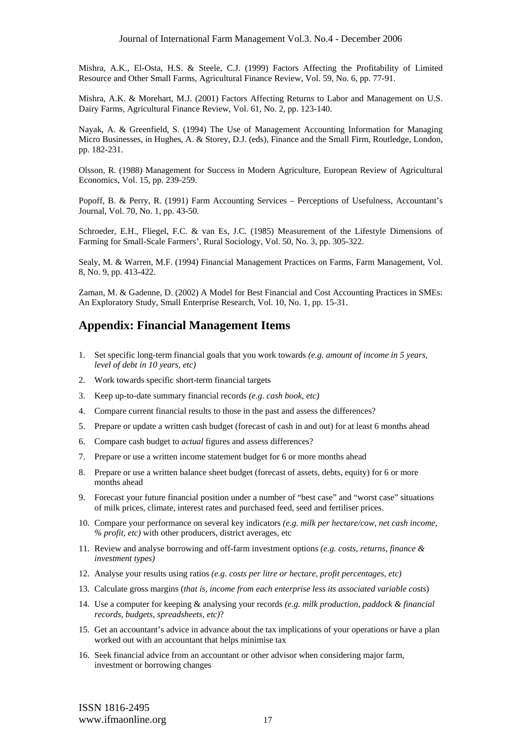Mishra, A.K., El-Osta, H.S. & Steele, C.J. (1999) Factors Affecting the Profitability of Limited Resource and Other Small Farms, Agricultural Finance Review, Vol. 59, No. 6, pp. 77-91.

Mishra, A.K. & Morehart, M.J. (2001) Factors Affecting Returns to Labor and Management on U.S. Dairy Farms, Agricultural Finance Review, Vol. 61, No. 2, pp. 123-140.

Nayak, A. & Greenfield, S. (1994) The Use of Management Accounting Information for Managing Micro Businesses, in Hughes, A. & Storey, D.J. (eds), Finance and the Small Firm, Routledge, London, pp. 182-231.

Olsson, R. (1988) Management for Success in Modern Agriculture, European Review of Agricultural Economics, Vol. 15, pp. 239-259.

Popoff, B. & Perry, R. (1991) Farm Accounting Services – Perceptions of Usefulness, Accountant's Journal, Vol. 70, No. 1, pp. 43-50.

Schroeder, E.H., Fliegel, F.C. & van Es, J.C. (1985) Measurement of the Lifestyle Dimensions of Farming for Small-Scale Farmers', Rural Sociology, Vol. 50, No. 3, pp. 305-322.

Sealy, M. & Warren, M.F. (1994) Financial Management Practices on Farms, Farm Management, Vol. 8, No. 9, pp. 413-422.

Zaman, M. & Gadenne, D. (2002) A Model for Best Financial and Cost Accounting Practices in SMEs: An Exploratory Study, Small Enterprise Research, Vol. 10, No. 1, pp. 15-31.

# **Appendix: Financial Management Items**

- 1. Set specific long-term financial goals that you work towards *(e.g. amount of income in 5 years, level of debt in 10 years, etc)*
- 2. Work towards specific short-term financial targets
- 3. Keep up-to-date summary financial records *(e.g. cash book, etc)*
- 4. Compare current financial results to those in the past and assess the differences?
- 5. Prepare or update a written cash budget (forecast of cash in and out) for at least 6 months ahead
- 6. Compare cash budget to *actual* figures and assess differences?
- 7. Prepare or use a written income statement budget for 6 or more months ahead
- 8. Prepare or use a written balance sheet budget (forecast of assets, debts, equity) for 6 or more months ahead
- 9. Forecast your future financial position under a number of "best case" and "worst case" situations of milk prices, climate, interest rates and purchased feed, seed and fertiliser prices.
- 10. Compare your performance on several key indicators *(e.g. milk per hectare/cow, net cash income, % profit, etc)* with other producers, district averages, etc
- 11. Review and analyse borrowing and off-farm investment options *(e.g. costs, returns, finance & investment types)*
- 12. Analyse your results using ratios *(e.g. costs per litre or hectare, profit percentages, etc)*
- 13. Calculate gross margins (*that is, income from each enterprise less its associated variable costs*)
- 14. Use a computer for keeping & analysing your records *(e.g. milk production, paddock & financial records, budgets, spreadsheets, etc)*?
- 15. Get an accountant's advice in advance about the tax implications of your operations or have a plan worked out with an accountant that helps minimise tax
- 16. Seek financial advice from an accountant or other advisor when considering major farm, investment or borrowing changes